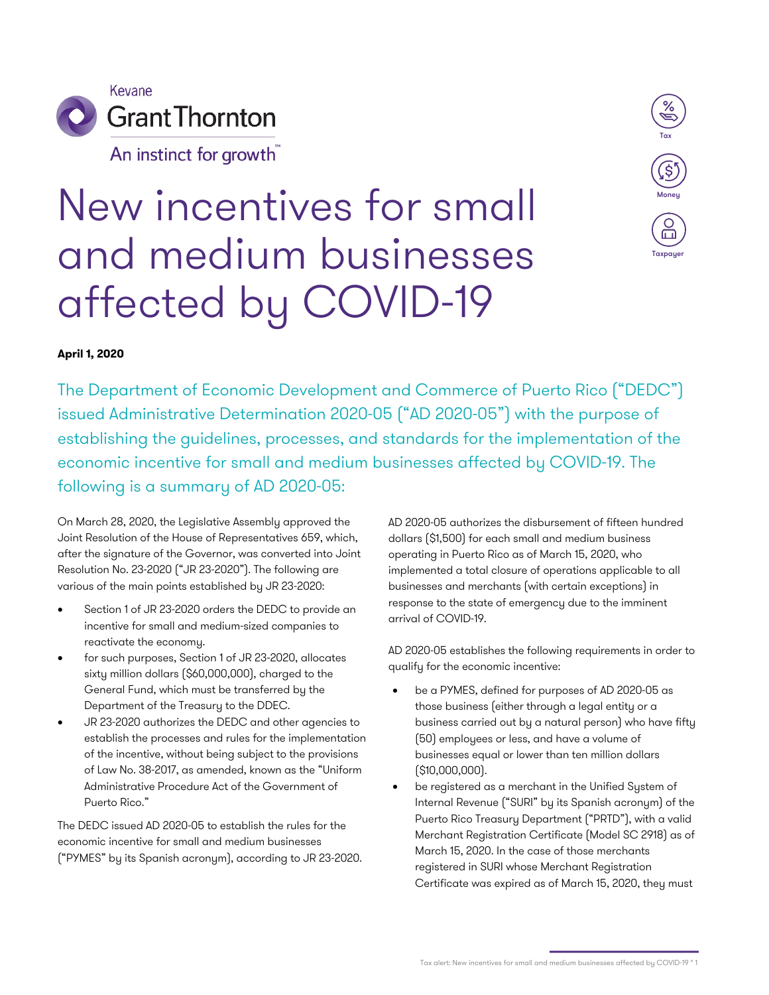

An instinct for growth



## New incentives for small and medium businesses affected by COVID-19

## **April 1, 2020**

The Department of Economic Development and Commerce of Puerto Rico ("DEDC") issued Administrative Determination 2020-05 ("AD 2020-05") with the purpose of establishing the guidelines, processes, and standards for the implementation of the economic incentive for small and medium businesses affected by COVID-19. The following is a summary of AD 2020-05:

On March 28, 2020, the Legislative Assembly approved the Joint Resolution of the House of Representatives 659, which, after the signature of the Governor, was converted into Joint Resolution No. 23-2020 ("JR 23-2020"). The following are various of the main points established by JR 23-2020:

- Section 1 of JR 23-2020 orders the DEDC to provide an incentive for small and medium-sized companies to reactivate the economy.
- for such purposes, Section 1 of JR 23-2020, allocates sixty million dollars (\$60,000,000), charged to the General Fund, which must be transferred by the Department of the Treasury to the DDEC.
- JR 23-2020 authorizes the DEDC and other agencies to establish the processes and rules for the implementation of the incentive, without being subject to the provisions of Law No. 38-2017, as amended, known as the "Uniform Administrative Procedure Act of the Government of Puerto Rico."

The DEDC issued AD 2020-05 to establish the rules for the economic incentive for small and medium businesses ("PYMES" by its Spanish acronym), according to JR 23-2020. AD 2020-05 authorizes the disbursement of fifteen hundred dollars (\$1,500) for each small and medium business operating in Puerto Rico as of March 15, 2020, who implemented a total closure of operations applicable to all businesses and merchants (with certain exceptions) in response to the state of emergency due to the imminent arrival of COVID-19.

AD 2020-05 establishes the following requirements in order to qualify for the economic incentive:

- be a PYMES, defined for purposes of AD 2020-05 as those business (either through a legal entity or a business carried out by a natural person) who have fifty (50) employees or less, and have a volume of businesses equal or lower than ten million dollars (\$10,000,000).
- be registered as a merchant in the Unified System of Internal Revenue ("SURI" by its Spanish acronym) of the Puerto Rico Treasury Department ("PRTD"), with a valid Merchant Registration Certificate (Model SC 2918) as of March 15, 2020. In the case of those merchants registered in SURI whose Merchant Registration Certificate was expired as of March 15, 2020, they must

Tax alert: New incentives for small and medium businesses affected by COVID-19 ° 1